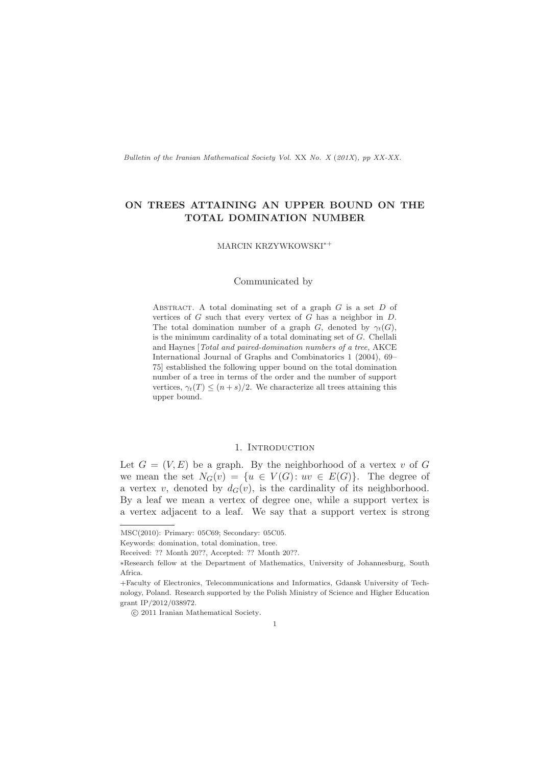Bulletin of the Iranian Mathematical Society Vol. XX No. X (201X), pp XX-XX.

# ON TREES ATTAINING AN UPPER BOUND ON THE TOTAL DOMINATION NUMBER

MARCIN KRZYWKOWSKI<sup>∗</sup><sup>+</sup>

#### Communicated by

ABSTRACT. A total dominating set of a graph  $G$  is a set  $D$  of vertices of  $G$  such that every vertex of  $G$  has a neighbor in  $D$ . The total domination number of a graph G, denoted by  $\gamma_t(G)$ , is the minimum cardinality of a total dominating set of G. Chellali and Haynes [Total and paired-domination numbers of a tree, AKCE International Journal of Graphs and Combinatorics 1 (2004), 69– 75] established the following upper bound on the total domination number of a tree in terms of the order and the number of support vertices,  $\gamma_t(T) \leq (n+s)/2$ . We characterize all trees attaining this upper bound.

# 1. INTRODUCTION

Let  $G = (V, E)$  be a graph. By the neighborhood of a vertex v of G we mean the set  $N_G(v) = \{u \in V(G): uv \in E(G)\}\.$  The degree of a vertex v, denoted by  $d_G(v)$ , is the cardinality of its neighborhood. By a leaf we mean a vertex of degree one, while a support vertex is a vertex adjacent to a leaf. We say that a support vertex is strong

MSC(2010): Primary: 05C69; Secondary: 05C05.

Keywords: domination, total domination, tree.

Received: ?? Month 20??, Accepted: ?? Month 20??.

<sup>∗</sup>Research fellow at the Department of Mathematics, University of Johannesburg, South Africa.

<sup>+</sup>Faculty of Electronics, Telecommunications and Informatics, Gdansk University of Technology, Poland. Research supported by the Polish Ministry of Science and Higher Education grant IP/2012/038972.

c 2011 Iranian Mathematical Society.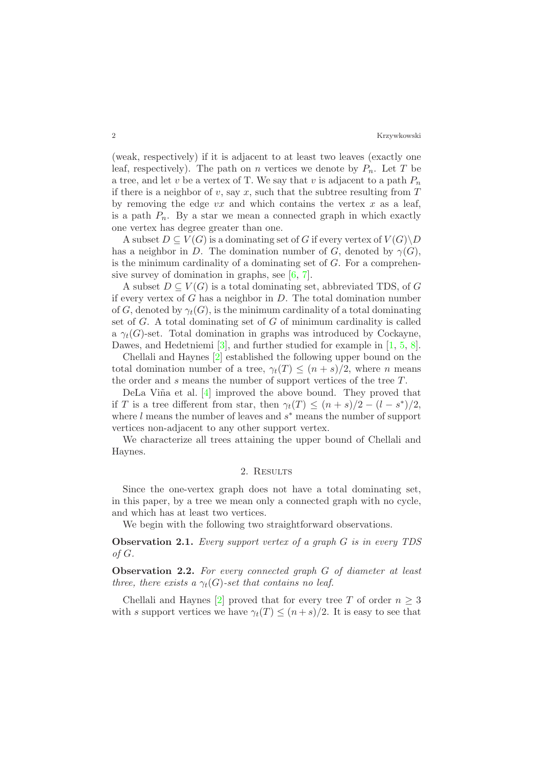(weak, respectively) if it is adjacent to at least two leaves (exactly one leaf, respectively). The path on n vertices we denote by  $P_n$ . Let T be a tree, and let v be a vertex of T. We say that v is adjacent to a path  $P_n$ if there is a neighbor of v, say x, such that the subtree resulting from  $T$ by removing the edge  $vx$  and which contains the vertex  $x$  as a leaf, is a path  $P_n$ . By a star we mean a connected graph in which exactly one vertex has degree greater than one.

A subset  $D \subseteq V(G)$  is a dominating set of G if every vertex of  $V(G) \backslash D$ has a neighbor in D. The domination number of G, denoted by  $\gamma(G)$ , is the minimum cardinality of a dominating set of  $G$ . For a comprehensive survey of domination in graphs, see [\[6,](#page-6-0) [7\]](#page-6-1).

A subset  $D \subseteq V(G)$  is a total dominating set, abbreviated TDS, of G if every vertex of  $G$  has a neighbor in  $D$ . The total domination number of G, denoted by  $\gamma_t(G)$ , is the minimum cardinality of a total dominating set of  $G$ . A total dominating set of  $G$  of minimum cardinality is called a  $\gamma_t(G)$ -set. Total domination in graphs was introduced by Cockayne, Dawes, and Hedetniemi [\[3\]](#page-6-2), and further studied for example in [\[1,](#page-5-0) [5,](#page-6-3) [8\]](#page-6-4).

Chellali and Haynes [\[2\]](#page-5-1) established the following upper bound on the total domination number of a tree,  $\gamma_t(T) \leq (n+s)/2$ , where *n* means the order and s means the number of support vertices of the tree T.

DeLa Viña et al. [\[4\]](#page-6-5) improved the above bound. They proved that if T is a tree different from star, then  $\gamma_t(T) \leq (n+s)/2 - (l-s^*)/2$ , where  $l$  means the number of leaves and  $s^*$  means the number of support vertices non-adjacent to any other support vertex.

We characterize all trees attaining the upper bound of Chellali and Haynes.

## 2. RESULTS

Since the one-vertex graph does not have a total dominating set, in this paper, by a tree we mean only a connected graph with no cycle, and which has at least two vertices.

We begin with the following two straightforward observations.

<span id="page-1-0"></span>Observation 2.1. Every support vertex of a graph G is in every TDS of G.

Observation 2.2. For every connected graph G of diameter at least three, there exists a  $\gamma_t(G)$ -set that contains no leaf.

Chellali and Haynes [\[2\]](#page-5-1) proved that for every tree T of order  $n \geq 3$ with s support vertices we have  $\gamma_t(T) \leq (n+s)/2$ . It is easy to see that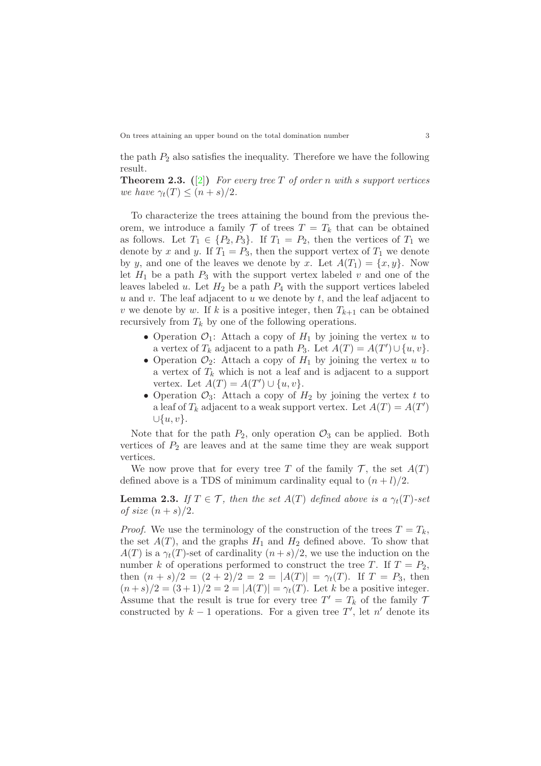On trees attaining an upper bound on the total domination number 3

the path  $P_2$  also satisfies the inequality. Therefore we have the following result.

**Theorem 2.3.** ([\[2\]](#page-5-1)) For every tree T of order n with s support vertices we have  $\gamma_t(T) \leq (n+s)/2$ .

To characterize the trees attaining the bound from the previous theorem, we introduce a family  $\mathcal T$  of trees  $T = T_k$  that can be obtained as follows. Let  $T_1 \in \{P_2, P_3\}$ . If  $T_1 = P_2$ , then the vertices of  $T_1$  we denote by x and y. If  $T_1 = P_3$ , then the support vertex of  $T_1$  we denote by y, and one of the leaves we denote by x. Let  $A(T_1) = \{x, y\}$ . Now let  $H_1$  be a path  $P_3$  with the support vertex labeled v and one of the leaves labeled u. Let  $H_2$  be a path  $P_4$  with the support vertices labeled u and v. The leaf adjacent to u we denote by  $t$ , and the leaf adjacent to v we denote by w. If k is a positive integer, then  $T_{k+1}$  can be obtained recursively from  $T_k$  by one of the following operations.

- Operation  $\mathcal{O}_1$ : Attach a copy of  $H_1$  by joining the vertex u to a vertex of  $T_k$  adjacent to a path  $P_3$ . Let  $A(T) = A(T') \cup \{u, v\}$ .
- Operation  $\mathcal{O}_2$ : Attach a copy of  $H_1$  by joining the vertex u to a vertex of  $T_k$  which is not a leaf and is adjacent to a support vertex. Let  $A(T) = A(T') \cup \{u, v\}.$
- Operation  $\mathcal{O}_3$ : Attach a copy of  $H_2$  by joining the vertex t to a leaf of  $T_k$  adjacent to a weak support vertex. Let  $A(T) = A(T')$  $\cup \{u, v\}.$

Note that for the path  $P_2$ , only operation  $\mathcal{O}_3$  can be applied. Both vertices of  $P_2$  are leaves and at the same time they are weak support vertices.

We now prove that for every tree T of the family  $\mathcal{T}$ , the set  $A(T)$ defined above is a TDS of minimum cardinality equal to  $(n+l)/2$ .

<span id="page-2-0"></span>**Lemma 2.3.** If  $T \in \mathcal{T}$ , then the set  $A(T)$  defined above is a  $\gamma_t(T)$ -set of size  $(n+s)/2$ .

*Proof.* We use the terminology of the construction of the trees  $T = T_k$ , the set  $A(T)$ , and the graphs  $H_1$  and  $H_2$  defined above. To show that  $A(T)$  is a  $\gamma_t(T)$ -set of cardinality  $(n+s)/2$ , we use the induction on the number k of operations performed to construct the tree T. If  $T = P_2$ , then  $(n + s)/2 = (2 + 2)/2 = 2 = |A(T)| = \gamma_t(T)$ . If  $T = P_3$ , then  $(n+s)/2 = (3+1)/2 = 2 = |A(T)| = \gamma_t(T)$ . Let k be a positive integer. Assume that the result is true for every tree  $T' = T_k$  of the family 7 constructed by  $k-1$  operations. For a given tree  $T'$ , let  $n'$  denote its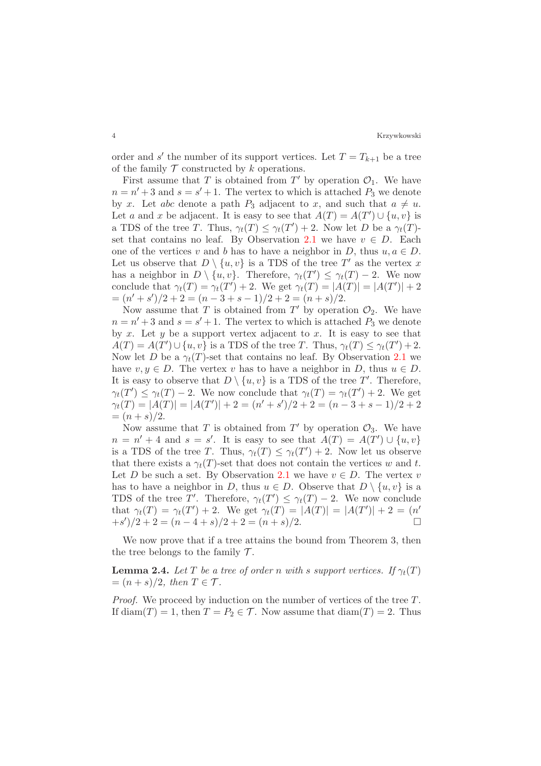order and s' the number of its support vertices. Let  $T = T_{k+1}$  be a tree of the family  $\mathcal T$  constructed by  $k$  operations.

First assume that T is obtained from  $T'$  by operation  $\mathcal{O}_1$ . We have  $n = n' + 3$  and  $s = s' + 1$ . The vertex to which is attached  $P_3$  we denote by x. Let abc denote a path  $P_3$  adjacent to x, and such that  $a \neq u$ . Let a and x be adjacent. It is easy to see that  $A(T) = A(T') \cup \{u, v\}$  is a TDS of the tree T. Thus,  $\gamma_t(T) \leq \gamma_t(T') + 2$ . Now let D be a  $\gamma_t(T)$ -set that contains no leaf. By Observation [2.1](#page-1-0) we have  $v \in D$ . Each one of the vertices v and b has to have a neighbor in D, thus  $u, a \in D$ . Let us observe that  $D \setminus \{u, v\}$  is a TDS of the tree T' as the vertex x has a neighbor in  $D \setminus \{u, v\}$ . Therefore,  $\gamma_t(T') \leq \gamma_t(T) - 2$ . We now conclude that  $\gamma_t(T) = \gamma_t(T') + 2$ . We get  $\gamma_t(T) = |A(T)| = |A(T')| + 2$  $=(n'+s')/2+2=(n-3+s-1)/2+2=(n+s)/2.$ 

Now assume that T is obtained from  $T'$  by operation  $\mathcal{O}_2$ . We have  $n = n' + 3$  and  $s = s' + 1$ . The vertex to which is attached  $P_3$  we denote by x. Let y be a support vertex adjacent to x. It is easy to see that  $A(T) = A(T') \cup \{u, v\}$  is a TDS of the tree T. Thus,  $\gamma_t(T) \leq \gamma_t(T') + 2$ . Now let D be a  $\gamma_t(T)$ -set that contains no leaf. By Observation [2.1](#page-1-0) we have  $v, y \in D$ . The vertex v has to have a neighbor in D, thus  $u \in D$ . It is easy to observe that  $D \setminus \{u, v\}$  is a TDS of the tree T'. Therefore,  $\gamma_t(T') \leq \gamma_t(T) - 2$ . We now conclude that  $\gamma_t(T) = \gamma_t(T') + 2$ . We get  $\gamma_t(T) = |A(T)| = |A(T')| + 2 = (n' + s')/2 + 2 = (n - 3 + s - 1)/2 + 2$  $=(n+s)/2.$ 

Now assume that T is obtained from  $T'$  by operation  $\mathcal{O}_3$ . We have  $n = n' + 4$  and  $s = s'$ . It is easy to see that  $A(T) = A(T') \cup \{u, v\}$ is a TDS of the tree T. Thus,  $\gamma_t(T) \leq \gamma_t(T') + 2$ . Now let us observe that there exists a  $\gamma_t(T)$ -set that does not contain the vertices w and t. Let D be such a set. By Observation [2.1](#page-1-0) we have  $v \in D$ . The vertex v has to have a neighbor in D, thus  $u \in D$ . Observe that  $D \setminus \{u, v\}$  is a TDS of the tree T'. Therefore,  $\gamma_t(T') \leq \gamma_t(T) - 2$ . We now conclude that  $\gamma_t(T) = \gamma_t(T') + 2$ . We get  $\gamma_t(T) = |A(T)| = |A(T')| + 2 = (n'$  $+s<sup>2</sup>/(2+2) = (n-4+s)/2+2 = (n+s)/2.$ 

We now prove that if a tree attains the bound from Theorem 3, then the tree belongs to the family  $\mathcal{T}$ .

<span id="page-3-0"></span>**Lemma 2.4.** Let T be a tree of order n with s support vertices. If  $\gamma_t(T)$  $=(n+s)/2$ , then  $T \in \mathcal{T}$ .

Proof. We proceed by induction on the number of vertices of the tree T. If diam(T) = 1, then  $T = P_2 \in \mathcal{T}$ . Now assume that  $\text{diam}(T) = 2$ . Thus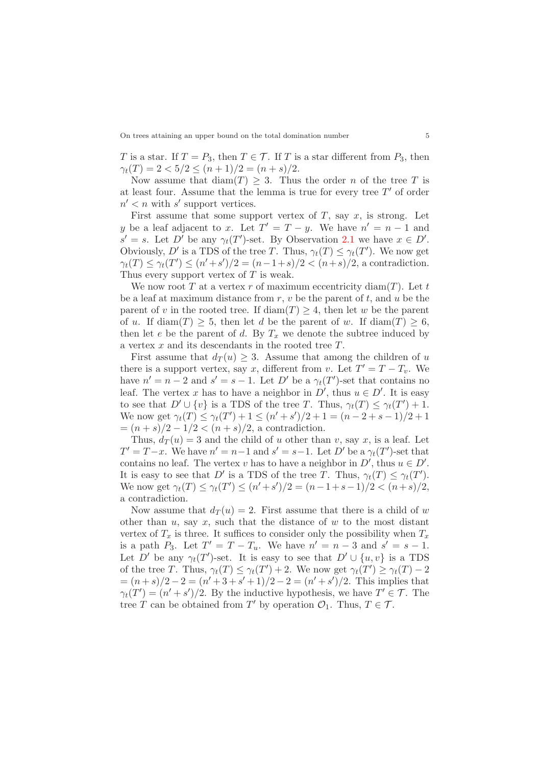T is a star. If  $T = P_3$ , then  $T \in \mathcal{T}$ . If T is a star different from  $P_3$ , then  $\gamma_t(T) = 2 < 5/2 \leq (n+1)/2 = (n+s)/2.$ 

Now assume that  $\text{diam}(T) \geq 3$ . Thus the order *n* of the tree *T* is at least four. Assume that the lemma is true for every tree  $T'$  of order  $n' < n$  with s' support vertices.

First assume that some support vertex of  $T$ , say  $x$ , is strong. Let y be a leaf adjacent to x. Let  $T' = T - y$ . We have  $n' = n - 1$  and  $s' = s$ . Let D' be any  $\gamma_t(T')$ -set. By Observation [2.1](#page-1-0) we have  $x \in D'$ . Obviously, D' is a TDS of the tree T. Thus,  $\gamma_t(T) \leq \gamma_t(T')$ . We now get  $\gamma_t(T) \leq \gamma_t(T') \leq (n' + s')/2 = (n - 1 + s)/2 < (n + s)/2$ , a contradiction. Thus every support vertex of  $T$  is weak.

We now root T at a vertex r of maximum eccentricity diam(T). Let t be a leaf at maximum distance from  $r, v$  be the parent of  $t$ , and  $u$  be the parent of v in the rooted tree. If  $\text{diam}(T) \geq 4$ , then let w be the parent of u. If  $\text{diam}(T) \geq 5$ , then let d be the parent of w. If  $\text{diam}(T) \geq 6$ , then let e be the parent of d. By  $T_x$  we denote the subtree induced by a vertex  $x$  and its descendants in the rooted tree  $T$ .

First assume that  $d_T(u) \geq 3$ . Assume that among the children of u there is a support vertex, say x, different from v. Let  $T' = T - T_v$ . We have  $n' = n - 2$  and  $s' = s - 1$ . Let D' be a  $\gamma_t(T')$ -set that contains no leaf. The vertex x has to have a neighbor in  $D'$ , thus  $u \in D'$ . It is easy to see that  $D' \cup \{v\}$  is a TDS of the tree T. Thus,  $\gamma_t(T) \leq \gamma_t(T') + 1$ . We now get  $\gamma_t(T) \leq \gamma_t(T') + 1 \leq (n' + s')/2 + 1 = (n - 2 + s - 1)/2 + 1$  $=(n+s)/2-1/2<(n+s)/2$ , a contradiction.

Thus,  $d_T(u) = 3$  and the child of u other than v, say x, is a leaf. Let  $T' = T - x$ . We have  $n' = n - 1$  and  $s' = s - 1$ . Let  $D'$  be a  $\gamma_t(T')$ -set that contains no leaf. The vertex v has to have a neighbor in  $D'$ , thus  $u \in D'$ . It is easy to see that D' is a TDS of the tree T. Thus,  $\gamma_t(T) \leq \gamma_t(T')$ . We now get  $\gamma_t(T) \leq \gamma_t(T') \leq (n' + s')/2 = (n - 1 + s - 1)/2 < (n + s)/2$ , a contradiction.

Now assume that  $d_T(u) = 2$ . First assume that there is a child of w other than  $u$ , say  $x$ , such that the distance of  $w$  to the most distant vertex of  $T_x$  is three. It suffices to consider only the possibility when  $T_x$ is a path  $P_3$ . Let  $T' = T - T_u$ . We have  $n' = n - 3$  and  $s' = s - 1$ . Let D' be any  $\gamma_t(T')$ -set. It is easy to see that  $D' \cup \{u, v\}$  is a TDS of the tree T. Thus,  $\gamma_t(T) \leq \gamma_t(T') + 2$ . We now get  $\gamma_t(T') \geq \gamma_t(T) - 2$  $=(n+s)/2-2=(n'+3+s'+1)/2-2=(n'+s')/2$ . This implies that  $\gamma_t(T') = (n' + s')/2$ . By the inductive hypothesis, we have  $T' \in \mathcal{T}$ . The tree T can be obtained from T' by operation  $\mathcal{O}_1$ . Thus,  $T \in \mathcal{T}$ .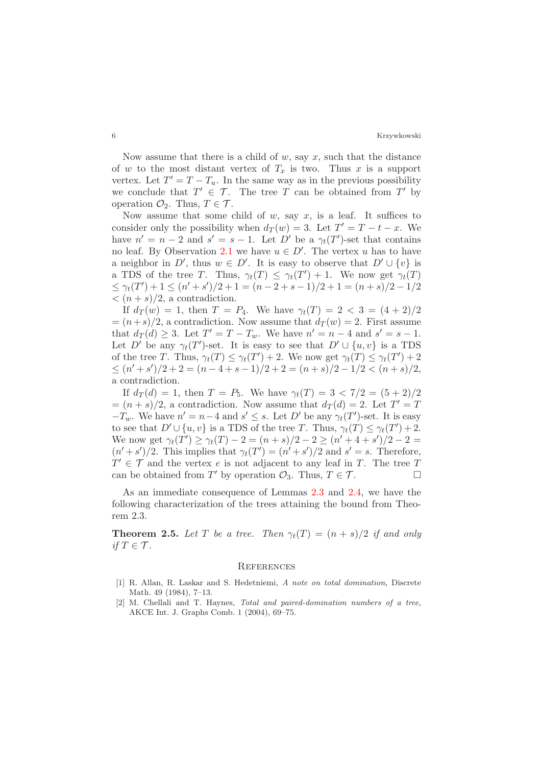Now assume that there is a child of  $w$ , say  $x$ , such that the distance of w to the most distant vertex of  $T_x$  is two. Thus x is a support vertex. Let  $T' = T - T_u$ . In the same way as in the previous possibility we conclude that  $T' \in \mathcal{T}$ . The tree T can be obtained from T' by operation  $\mathcal{O}_2$ . Thus,  $T \in \mathcal{T}$ .

Now assume that some child of w, say x, is a leaf. It suffices to consider only the possibility when  $d_T(w) = 3$ . Let  $T' = T - t - x$ . We have  $n' = n - 2$  and  $s' = s - 1$ . Let D' be a  $\gamma_t(T')$ -set that contains no leaf. By Observation [2.1](#page-1-0) we have  $u \in D'$ . The vertex u has to have a neighbor in D', thus  $w \in D'$ . It is easy to observe that  $D' \cup \{v\}$  is a TDS of the tree T. Thus,  $\gamma_t(T) \leq \gamma_t(T') + 1$ . We now get  $\gamma_t(T)$  $\leq \gamma_t(T') + 1 \leq (n' + s')/2 + 1 = (n - 2 + s - 1)/2 + 1 = (n + s)/2 - 1/2$  $\langle (n+s)/2, \text{ a contradiction.} \rangle$ 

If  $d_T(w) = 1$ , then  $T = P_4$ . We have  $\gamma_t(T) = 2 < 3 = (4 + 2)/2$  $=(n+s)/2$ , a contradiction. Now assume that  $d_T(w) = 2$ . First assume that  $d_T(d) \geq 3$ . Let  $T' = T - T_w$ . We have  $n' = n - 4$  and  $s' = s - 1$ . Let D' be any  $\gamma_t(T')$ -set. It is easy to see that  $D' \cup \{u, v\}$  is a TDS of the tree T. Thus,  $\gamma_t(T) \leq \gamma_t(T') + 2$ . We now get  $\gamma_t(T) \leq \gamma_t(T') + 2$  $\leq (n'+s')/2 + 2 = (n-4+s-1)/2 + 2 = (n+s)/2 - 1/2 < (n+s)/2,$ a contradiction.

If  $d_T(d) = 1$ , then  $T = P_5$ . We have  $\gamma_t(T) = 3 < 7/2 = (5 + 2)/2$  $=(n+s)/2$ , a contradiction. Now assume that  $d_T(d) = 2$ . Let  $T' = T$  $-T_w$ . We have  $n' = n-4$  and  $s' \leq s$ . Let D' be any  $\gamma_t(T')$ -set. It is easy to see that  $D' \cup \{u, v\}$  is a TDS of the tree T. Thus,  $\gamma_t(T) \leq \gamma_t(T') + 2$ . We now get  $\gamma_t(T') \geq \gamma_t(T) - 2 = (n+s)/2 - 2 \geq (n'+4+s')/2 - 2 =$  $(n'+s')/2$ . This implies that  $\gamma_t(T') = (n'+s')/2$  and  $s' = s$ . Therefore,  $T' \in \mathcal{T}$  and the vertex e is not adjacent to any leaf in T. The tree T can be obtained from T' by operation  $\mathcal{O}_3$ . Thus,  $T \in \mathcal{T}$ .

As an immediate consequence of Lemmas [2.3](#page-2-0) and [2.4,](#page-3-0) we have the following characterization of the trees attaining the bound from Theorem 2.3.

**Theorem 2.5.** Let T be a tree. Then  $\gamma_t(T) = (n + s)/2$  if and only if  $T \in \mathcal{T}$ .

#### **REFERENCES**

- <span id="page-5-0"></span>[1] R. Allan, R. Laskar and S. Hedetniemi, A note on total domination, Discrete Math. 49 (1984), 7–13.
- <span id="page-5-1"></span>[2] M. Chellali and T. Haynes, Total and paired-domination numbers of a tree, AKCE Int. J. Graphs Comb. 1 (2004), 69–75.